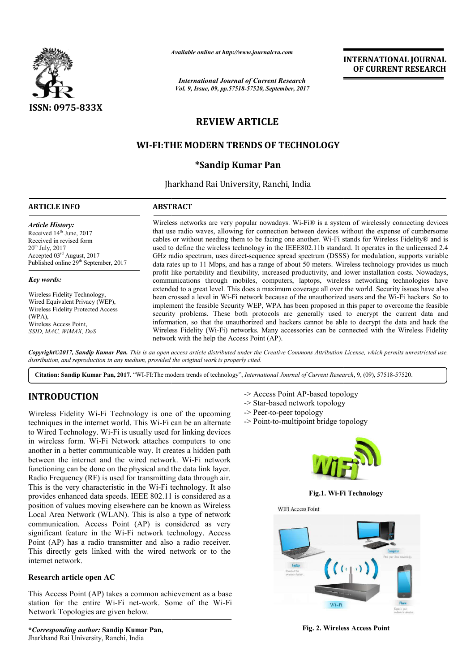

*Available online at http://www.journal http://www.journalcra.com*

*International Journal of Current Research Vol. 9, Issue, 09, pp.57518-57520, September, 2017* **INTERNATIONAL JOURNAL OF CURRENT RESEARCH** 

# **REVIEW ARTICLE**

# **WI-FI:THE MODERN TRENDS OF TECHNOLOGY FI:THE \*Sandip Kumar Pan**

Jharkhand Rai University, Ranchi, India

## **ARTICLE INFO ABSTRACT**

*Article History:* Received 14<sup>th</sup> June, 2017 Received in revised form 20th July, 2017 Accepted 03rd August, 2017 Published online 29<sup>th</sup> September, 2017

#### *Key words:*

Wireless Fidelity Technology, Wired Equivalent Privacy (WEP), Wireless Fidelity Protected Access (WPA), Wireless Access Point, *SSID, MAC, WiMAX, DoS*

Wireless networks are very popular nowadays. Wi-Fi® is a system of wirelessly connecting devices that use radio waves, allowing for connection between devices without the expense of cumbersome cables or without needing them to be facing one another. Wi Wi-Fi stands for Wireless Fidelit used to define the wireless technology in the IEEE802.11b standard. It operates in the unlicensed 2.4 GHz radio spectrum, uses direct-sequence spread spectrum (DSSS) for modulation, supports variable data rates up to 11 Mbps, and has a range of about 50 meters. Wireless technology provides us much profit like portability and flexibility, increased productivity, and lower installation costs. Nowadays, communications through mobiles, computers, laptops, wireless networking technologies have extended to a great level. This does a maximum coverage all over the world. Security issues have also been crossed a level in Wi Wi-Fi network because of the unauthorized users and the Wi implement the feasible Security WEP, WPA has been proposed in this paper to overcome the feasible security problems. These both protocols are generally used to encrypt the current data and information, so that the unauthorized and hackers cannot be able to decrypt the data and hack the security problems. These both protocols are generally used to encrypt the current data and information, so that the unauthorized and hackers cannot be able to decrypt the data and hack the Wireless Fidelity (Wi-Fi) network network with the help the Access Point (AP). Wi-Fi® is a system of wirelessly connecting devices<br>between devices without the expense of cumbersome<br>le another. Wi-Fi stands for Wireless Fidelity® and is used to define the wireless technology in the IEEE802.11b standard. It operates in the unlicensed 2.4 GHz radio spectrum, uses direct-sequence spread spectrum (DSSS) for modulation, supports variable data rates up to 11 Mb **FINDERE ACCONSTRAIT CONSTRAIT CONSTRAIT CONSTRAINS OF CURRENT RESEARCH CONSTRAINS (SO THE SET AND THE SET AND THE SET AND A SURFAINT CHECK SURFAINS (WE WAS THE UNITS OF THE SURFAINS (SURFAINS) (i.e., wireless reduviding t** 

*Copyright©2017, Sandip Kumar Pan. This is an open access article distributed under the Creative Commons Att Attribution License, which ribution permits unrestricted use, distribution, and reproduction in any medium, provided the original work is properly cited.*

Citation: Sandip Kumar Pan, 2017. "WI-FI:The modern trends of technology", *International Journal of Current Research*, 9, (09), 57518-57520.

# **INTRODUCTION**

Wireless Fidelity Wi-Fi Technology is one of the upcoming techniques in the internet world. This Wi-Fi can be an alternate to Wired Technology. Wi-Fi is usually used for linking devices in wireless form. Wi-Fi Network attaches computers to one another in a better communicable way. It creates a hidden path Wireless Fidelity Wi-Fi Technology is one of the upcoming<br>techniques in the internet world. This Wi-Fi can be an alternate<br>to Wired Technology. Wi-Fi is usually used for linking devices<br>in wireless form. Wi-Fi Network atta functioning can be done on the physical and the data link layer. Radio Frequency (RF) is used for transmitting data through air. This is the very characteristic in the Wi-Fi technology. It also provides enhanced data speeds. IEEE 802.11 is considered as a position of values moving elsewhere can be known as Wireless Local Area Network (WLAN). This is also a type of network communication. Access Point (AP) is considered as very significant feature in the Wi-Fi network technology. Access Point (AP) has a radio transmitter and also a radio receiver. This directly gets linked with the wired network or to the internet network. in the Wi-Fi technology. It also<br>IEEE 802.11 is considered as a<br>where can be known as Wireless<br>I. This is also a type of network<br>t (AP) is considered as very<br>Fi network technology. Access<br>nitter and also a radio receiver.<br>

#### **Research article open AC**

This Access Point (AP) takes a common achievement as a base station for the entire Wi-Fi net-work. Some of the Wi Network Topologies are given below.

- -> Access Point AP-based topology
- -> Star-based network topology
- -> Peer-to-peer topology
- -> Access Point AP-based topology<br>-> Star-based network topology<br>-> Peer-to-peer topology<br>-> Point-to-multipoint bridge topology



**Fig.1. Wi-Fi Technology** 



**Fig. 2. Wireless Access Point**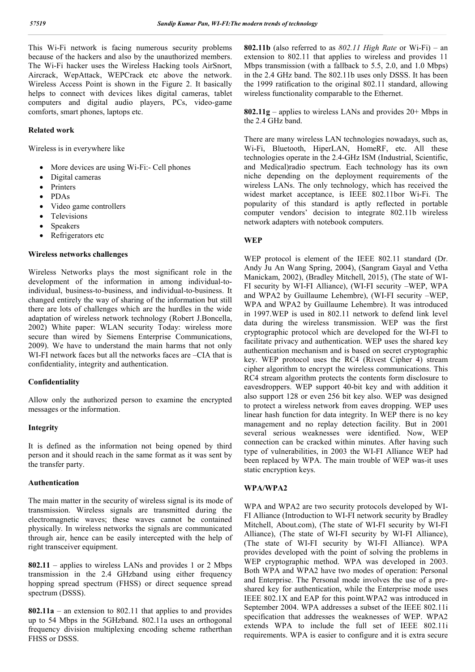This Wi-Fi network is facing numerous security problems because of the hackers and also by the unauthorized members. The Wi-Fi hacker uses the Wireless Hacking tools AirSnort, Aircrack, WepAttack, WEPCrack etc above the network. Wireless Access Point is shown in the Figure 2. It basically helps to connect with devices likes digital cameras, tablet computers and digital audio players, PCs, video-game comforts, smart phones, laptops etc.

#### **Related work**

Wireless is in everywhere like

- More devices are using Wi-Fi:- Cell phones
- Digital cameras
- Printers
- PDAs
- Video game controllers
- Televisions
- Speakers
- Refrigerators etc

#### **Wireless networks challenges**

Wireless Networks plays the most significant role in the development of the information in among individual-toindividual, business-to-business, and individual-to-business. It changed entirely the way of sharing of the information but still there are lots of challenges which are the hurdles in the wide adaptation of wireless network technology (Robert J.Boncella, 2002) White paper: WLAN security Today: wireless more secure than wired by Siemens Enterprise Communications, 2009). We have to understand the main harms that not only WI-FI network faces but all the networks faces are –CIA that is confidentiality, integrity and authentication.

#### **Confidentiality**

Allow only the authorized person to examine the encrypted messages or the information.

#### **Integrity**

It is defined as the information not being opened by third person and it should reach in the same format as it was sent by the transfer party.

#### **Authentication**

The main matter in the security of wireless signal is its mode of transmission. Wireless signals are transmitted during the electromagnetic waves; these waves cannot be contained physically. In wireless networks the signals are communicated through air, hence can be easily intercepted with the help of right transceiver equipment.

**802.11** – applies to wireless LANs and provides 1 or 2 Mbps transmission in the 2.4 GHzband using either frequency hopping spread spectrum (FHSS) or direct sequence spread spectrum (DSSS).

**802.11a** – an extension to 802.11 that applies to and provides up to 54 Mbps in the 5GHzband. 802.11a uses an orthogonal frequency division multiplexing encoding scheme ratherthan FHSS or DSSS.

**802.11b** (also referred to as *802.11 High Rate* or Wi-Fi) – an extension to 802.11 that applies to wireless and provides 11 Mbps transmission (with a fallback to 5.5, 2.0, and 1.0 Mbps) in the 2.4 GHz band. The 802.11b uses only DSSS. It has been the 1999 ratification to the original 802.11 standard, allowing wireless functionality comparable to the Ethernet.

**802.11g** – applies to wireless LANs and provides 20+ Mbps in the 2.4 GHz band.

There are many wireless LAN technologies nowadays, such as, Wi-Fi, Bluetooth, HiperLAN, HomeRF, etc. All these technologies operate in the 2.4-GHz ISM (Industrial, Scientific, and Medical)radio spectrum. Each technology has its own niche depending on the deployment requirements of the wireless LANs. The only technology, which has received the widest market acceptance, is IEEE 802.11bor Wi-Fi. The popularity of this standard is aptly reflected in portable computer vendors' decision to integrate 802.11b wireless network adapters with notebook computers.

#### **WEP**

WEP protocol is element of the IEEE 802.11 standard (Dr. Andy Ju An Wang Spring, 2004), (Sangram Gayal and Vetha Manickam, 2002), (Bradley Mitchell, 2015), (The state of WI-FI security by WI-FI Alliance), (WI-FI security –WEP, WPA and WPA2 by Guillaume Lehembre), (WI-FI security –WEP, WPA and WPA2 by Guillaume Lehembre). It was introduced in 1997.WEP is used in 802.11 network to defend link level data during the wireless transmission. WEP was the first cryptographic protocol which are developed for the WI-FI to facilitate privacy and authentication. WEP uses the shared key authentication mechanism and is based on secret cryptographic key. WEP protocol uses the RC4 (Rivest Cipher 4) stream cipher algorithm to encrypt the wireless communications. This RC4 stream algorithm protects the contents form disclosure to eavesdroppers. WEP support 40-bit key and with addition it also support 128 or even 256 bit key also. WEP was designed to protect a wireless network from eaves dropping. WEP uses linear hash function for data integrity. In WEP there is no key management and no replay detection facility. But in 2001 several serious weaknesses were identified. Now, WEP connection can be cracked within minutes. After having such type of vulnerabilities, in 2003 the WI-FI Alliance WEP had been replaced by WPA. The main trouble of WEP was-it uses static encryption keys.

### **WPA/WPA2**

WPA and WPA2 are two security protocols developed by WI-FI Alliance (Introduction to WI-FI network security by Bradley Mitchell, About.com), (The state of WI-FI security by WI-FI Alliance), (The state of WI-FI security by WI-FI Alliance), (The state of WI-FI security by WI-FI Alliance). WPA provides developed with the point of solving the problems in WEP cryptographic method. WPA was developed in 2003. Both WPA and WPA2 have two modes of operation: Personal and Enterprise. The Personal mode involves the use of a preshared key for authentication, while the Enterprise mode uses IEEE 802.1X and EAP for this point.WPA2 was introduced in September 2004. WPA addresses a subset of the IEEE 802.11i specification that addresses the weaknesses of WEP. WPA2 extends WPA to include the full set of IEEE 802.11i requirements. WPA is easier to configure and it is extra secure